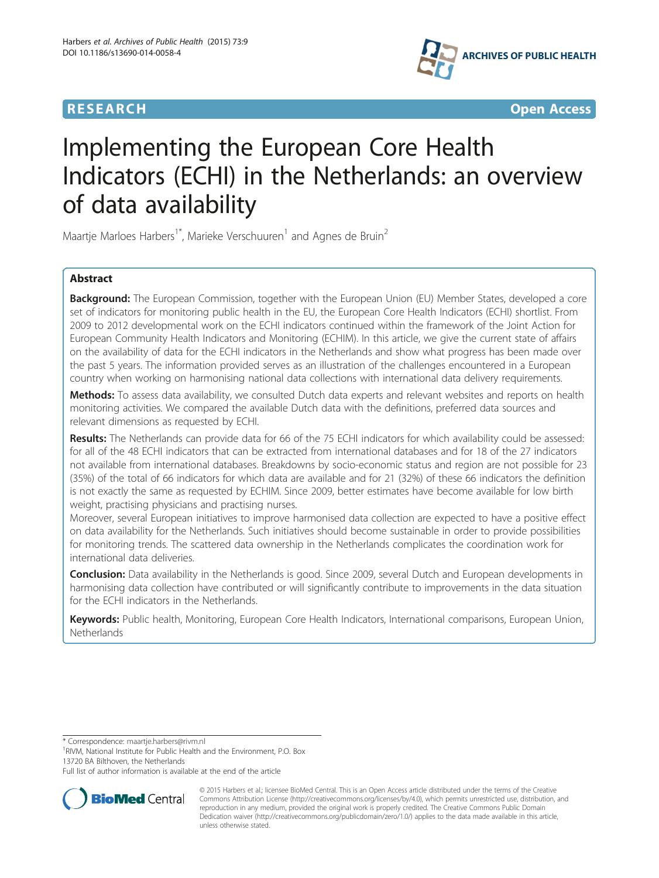



# Implementing the European Core Health Indicators (ECHI) in the Netherlands: an overview of data availability

Maartje Marloes Harbers<sup>1\*</sup>, Marieke Verschuuren<sup>1</sup> and Agnes de Bruin<sup>2</sup>

# Abstract

Background: The European Commission, together with the European Union (EU) Member States, developed a core set of indicators for monitoring public health in the EU, the European Core Health Indicators (ECHI) shortlist. From 2009 to 2012 developmental work on the ECHI indicators continued within the framework of the Joint Action for European Community Health Indicators and Monitoring (ECHIM). In this article, we give the current state of affairs on the availability of data for the ECHI indicators in the Netherlands and show what progress has been made over the past 5 years. The information provided serves as an illustration of the challenges encountered in a European country when working on harmonising national data collections with international data delivery requirements.

Methods: To assess data availability, we consulted Dutch data experts and relevant websites and reports on health monitoring activities. We compared the available Dutch data with the definitions, preferred data sources and relevant dimensions as requested by ECHI.

Results: The Netherlands can provide data for 66 of the 75 ECHI indicators for which availability could be assessed: for all of the 48 ECHI indicators that can be extracted from international databases and for 18 of the 27 indicators not available from international databases. Breakdowns by socio-economic status and region are not possible for 23 (35%) of the total of 66 indicators for which data are available and for 21 (32%) of these 66 indicators the definition is not exactly the same as requested by ECHIM. Since 2009, better estimates have become available for low birth weight, practising physicians and practising nurses.

Moreover, several European initiatives to improve harmonised data collection are expected to have a positive effect on data availability for the Netherlands. Such initiatives should become sustainable in order to provide possibilities for monitoring trends. The scattered data ownership in the Netherlands complicates the coordination work for international data deliveries.

Conclusion: Data availability in the Netherlands is good. Since 2009, several Dutch and European developments in harmonising data collection have contributed or will significantly contribute to improvements in the data situation for the ECHI indicators in the Netherlands.

Keywords: Public health, Monitoring, European Core Health Indicators, International comparisons, European Union, **Netherlands** 

\* Correspondence: [maartje.harbers@rivm.nl](mailto:maartje.harbers@rivm.nl) <sup>1</sup>

<sup>1</sup>RIVM, National Institute for Public Health and the Environment, P.O. Box 13720 BA Bilthoven, the Netherlands

Full list of author information is available at the end of the article



<sup>© 2015</sup> Harbers et al.; licensee BioMed Central. This is an Open Access article distributed under the terms of the Creative Commons Attribution License [\(http://creativecommons.org/licenses/by/4.0\)](http://creativecommons.org/licenses/by/4.0), which permits unrestricted use, distribution, and reproduction in any medium, provided the original work is properly credited. The Creative Commons Public Domain Dedication waiver [\(http://creativecommons.org/publicdomain/zero/1.0/](http://creativecommons.org/publicdomain/zero/1.0/)) applies to the data made available in this article, unless otherwise stated.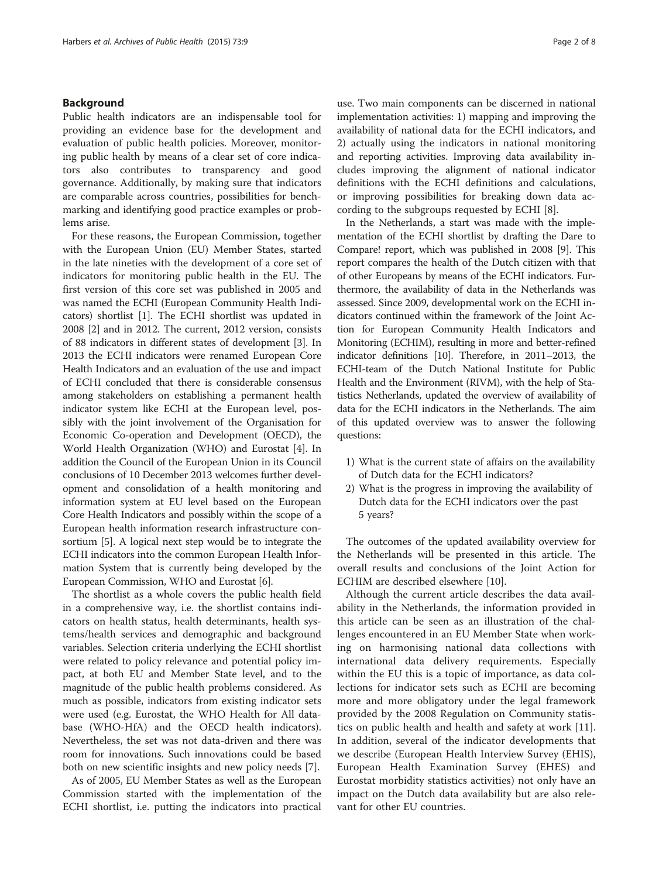## Background

Public health indicators are an indispensable tool for providing an evidence base for the development and evaluation of public health policies. Moreover, monitoring public health by means of a clear set of core indicators also contributes to transparency and good governance. Additionally, by making sure that indicators are comparable across countries, possibilities for benchmarking and identifying good practice examples or problems arise.

For these reasons, the European Commission, together with the European Union (EU) Member States, started in the late nineties with the development of a core set of indicators for monitoring public health in the EU. The first version of this core set was published in 2005 and was named the ECHI (European Community Health Indicators) shortlist [\[1\]](#page-6-0). The ECHI shortlist was updated in 2008 [\[2](#page-6-0)] and in 2012. The current, 2012 version, consists of 88 indicators in different states of development [\[3](#page-6-0)]. In 2013 the ECHI indicators were renamed European Core Health Indicators and an evaluation of the use and impact of ECHI concluded that there is considerable consensus among stakeholders on establishing a permanent health indicator system like ECHI at the European level, possibly with the joint involvement of the Organisation for Economic Co-operation and Development (OECD), the World Health Organization (WHO) and Eurostat [\[4\]](#page-6-0). In addition the Council of the European Union in its Council conclusions of 10 December 2013 welcomes further development and consolidation of a health monitoring and information system at EU level based on the European Core Health Indicators and possibly within the scope of a European health information research infrastructure consortium [\[5](#page-6-0)]. A logical next step would be to integrate the ECHI indicators into the common European Health Information System that is currently being developed by the European Commission, WHO and Eurostat [\[6\]](#page-6-0).

The shortlist as a whole covers the public health field in a comprehensive way, i.e. the shortlist contains indicators on health status, health determinants, health systems/health services and demographic and background variables. Selection criteria underlying the ECHI shortlist were related to policy relevance and potential policy impact, at both EU and Member State level, and to the magnitude of the public health problems considered. As much as possible, indicators from existing indicator sets were used (e.g. Eurostat, the WHO Health for All database (WHO-HfA) and the OECD health indicators). Nevertheless, the set was not data-driven and there was room for innovations. Such innovations could be based both on new scientific insights and new policy needs [[7\]](#page-6-0).

As of 2005, EU Member States as well as the European Commission started with the implementation of the ECHI shortlist, i.e. putting the indicators into practical use. Two main components can be discerned in national implementation activities: 1) mapping and improving the availability of national data for the ECHI indicators, and 2) actually using the indicators in national monitoring and reporting activities. Improving data availability includes improving the alignment of national indicator definitions with the ECHI definitions and calculations, or improving possibilities for breaking down data according to the subgroups requested by ECHI [[8\]](#page-6-0).

In the Netherlands, a start was made with the implementation of the ECHI shortlist by drafting the Dare to Compare! report, which was published in 2008 [[9\]](#page-6-0). This report compares the health of the Dutch citizen with that of other Europeans by means of the ECHI indicators. Furthermore, the availability of data in the Netherlands was assessed. Since 2009, developmental work on the ECHI indicators continued within the framework of the Joint Action for European Community Health Indicators and Monitoring (ECHIM), resulting in more and better-refined indicator definitions [\[10\]](#page-6-0). Therefore, in 2011–2013, the ECHI-team of the Dutch National Institute for Public Health and the Environment (RIVM), with the help of Statistics Netherlands, updated the overview of availability of data for the ECHI indicators in the Netherlands. The aim of this updated overview was to answer the following questions:

- 1) What is the current state of affairs on the availability of Dutch data for the ECHI indicators?
- 2) What is the progress in improving the availability of Dutch data for the ECHI indicators over the past 5 years?

The outcomes of the updated availability overview for the Netherlands will be presented in this article. The overall results and conclusions of the Joint Action for ECHIM are described elsewhere [[10\]](#page-6-0).

Although the current article describes the data availability in the Netherlands, the information provided in this article can be seen as an illustration of the challenges encountered in an EU Member State when working on harmonising national data collections with international data delivery requirements. Especially within the EU this is a topic of importance, as data collections for indicator sets such as ECHI are becoming more and more obligatory under the legal framework provided by the 2008 Regulation on Community statistics on public health and health and safety at work [\[11](#page-6-0)]. In addition, several of the indicator developments that we describe (European Health Interview Survey (EHIS), European Health Examination Survey (EHES) and Eurostat morbidity statistics activities) not only have an impact on the Dutch data availability but are also relevant for other EU countries.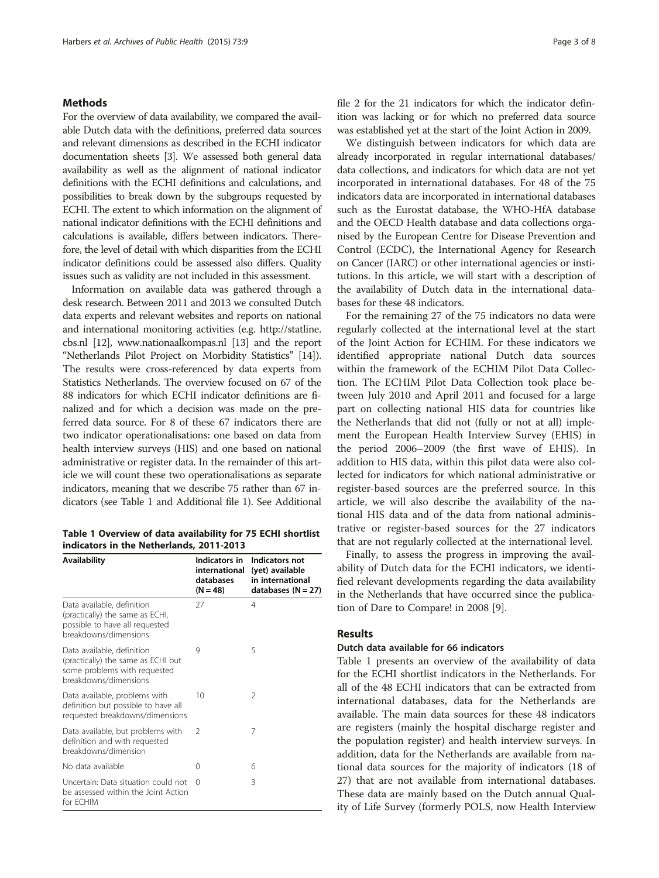## **Methods**

For the overview of data availability, we compared the available Dutch data with the definitions, preferred data sources and relevant dimensions as described in the ECHI indicator documentation sheets [\[3\]](#page-6-0). We assessed both general data availability as well as the alignment of national indicator definitions with the ECHI definitions and calculations, and possibilities to break down by the subgroups requested by ECHI. The extent to which information on the alignment of national indicator definitions with the ECHI definitions and calculations is available, differs between indicators. Therefore, the level of detail with which disparities from the ECHI indicator definitions could be assessed also differs. Quality issues such as validity are not included in this assessment.

Information on available data was gathered through a desk research. Between 2011 and 2013 we consulted Dutch data experts and relevant websites and reports on national and international monitoring activities (e.g. [http://statline.](http://statline.cbs.nl/) [cbs.nl](http://statline.cbs.nl/) [\[12](#page-6-0)], [www.nationaalkompas.nl](http://www.nationaalkompas.nl/) [\[13\]](#page-6-0) and the report "Netherlands Pilot Project on Morbidity Statistics" [[14](#page-6-0)]). The results were cross-referenced by data experts from Statistics Netherlands. The overview focused on 67 of the 88 indicators for which ECHI indicator definitions are finalized and for which a decision was made on the preferred data source. For 8 of these 67 indicators there are two indicator operationalisations: one based on data from health interview surveys (HIS) and one based on national administrative or register data. In the remainder of this article we will count these two operationalisations as separate indicators, meaning that we describe 75 rather than 67 indicators (see Table 1 and Additional file [1\)](#page-6-0). See Additional

Table 1 Overview of data availability for 75 ECHI shortlist indicators in the Netherlands, 2011-2013

| Availability                                                                                                              | Indicators in<br>international<br>databases<br>$(N = 48)$ | Indicators not<br>(yet) available<br>in international<br>databases $(N = 27)$ |
|---------------------------------------------------------------------------------------------------------------------------|-----------------------------------------------------------|-------------------------------------------------------------------------------|
| Data available, definition<br>(practically) the same as ECHI,<br>possible to have all requested<br>breakdowns/dimensions  | 27                                                        | 4                                                                             |
| Data available, definition<br>(practically) the same as ECHI but<br>some problems with requested<br>breakdowns/dimensions | 9                                                         | 5                                                                             |
| Data available, problems with<br>definition but possible to have all<br>requested breakdowns/dimensions                   | 10                                                        | 2                                                                             |
| Data available, but problems with<br>definition and with requested<br>breakdowns/dimension                                | $\mathcal{P}$                                             | 7                                                                             |
| No data available                                                                                                         | 0                                                         | 6                                                                             |
| Uncertain: Data situation could not<br>be assessed within the Joint Action<br>for FCHIM                                   | 0                                                         | 3                                                                             |

file [2](#page-6-0) for the 21 indicators for which the indicator definition was lacking or for which no preferred data source was established yet at the start of the Joint Action in 2009.

We distinguish between indicators for which data are already incorporated in regular international databases/ data collections, and indicators for which data are not yet incorporated in international databases. For 48 of the 75 indicators data are incorporated in international databases such as the Eurostat database, the WHO-HfA database and the OECD Health database and data collections organised by the European Centre for Disease Prevention and Control (ECDC), the International Agency for Research on Cancer (IARC) or other international agencies or institutions. In this article, we will start with a description of the availability of Dutch data in the international databases for these 48 indicators.

For the remaining 27 of the 75 indicators no data were regularly collected at the international level at the start of the Joint Action for ECHIM. For these indicators we identified appropriate national Dutch data sources within the framework of the ECHIM Pilot Data Collection. The ECHIM Pilot Data Collection took place between July 2010 and April 2011 and focused for a large part on collecting national HIS data for countries like the Netherlands that did not (fully or not at all) implement the European Health Interview Survey (EHIS) in the period 2006–2009 (the first wave of EHIS). In addition to HIS data, within this pilot data were also collected for indicators for which national administrative or register-based sources are the preferred source. In this article, we will also describe the availability of the national HIS data and of the data from national administrative or register-based sources for the 27 indicators that are not regularly collected at the international level.

Finally, to assess the progress in improving the availability of Dutch data for the ECHI indicators, we identified relevant developments regarding the data availability in the Netherlands that have occurred since the publication of Dare to Compare! in 2008 [\[9\]](#page-6-0).

## Results

## Dutch data available for 66 indicators

Table 1 presents an overview of the availability of data for the ECHI shortlist indicators in the Netherlands. For all of the 48 ECHI indicators that can be extracted from international databases, data for the Netherlands are available. The main data sources for these 48 indicators are registers (mainly the hospital discharge register and the population register) and health interview surveys. In addition, data for the Netherlands are available from national data sources for the majority of indicators (18 of 27) that are not available from international databases. These data are mainly based on the Dutch annual Quality of Life Survey (formerly POLS, now Health Interview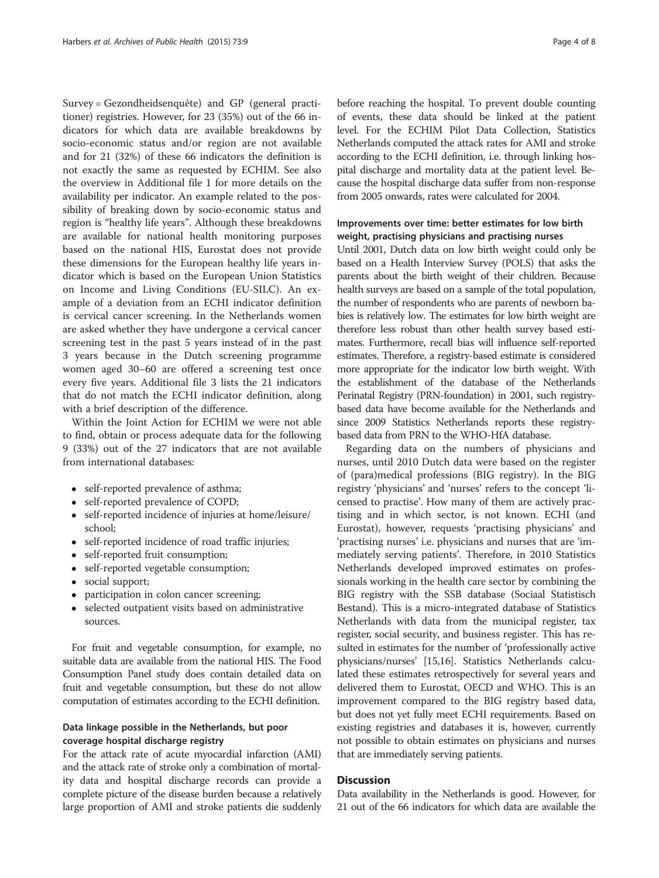Survey = Gezondheidsenquête) and GP (general practitioner) registries. However, for 23 (35%) out of the 66 indicators for which data are available breakdowns by socio-economic status and/or region are not available and for 21 (32%) of these 66 indicators the definition is not exactly the same as requested by ECHIM. See also the overview in Additional file [1](#page-6-0) for more details on the availability per indicator. An example related to the possibility of breaking down by socio-economic status and region is "healthy life years". Although these breakdowns are available for national health monitoring purposes based on the national HIS, Eurostat does not provide these dimensions for the European healthy life years indicator which is based on the European Union Statistics on Income and Living Conditions (EU-SILC). An example of a deviation from an ECHI indicator definition is cervical cancer screening. In the Netherlands women are asked whether they have undergone a cervical cancer screening test in the past 5 years instead of in the past 3 years because in the Dutch screening programme women aged 30–60 are offered a screening test once every five years. Additional file [3](#page-6-0) lists the 21 indicators that do not match the ECHI indicator definition, along with a brief description of the difference.

Within the Joint Action for ECHIM we were not able to find, obtain or process adequate data for the following 9 (33%) out of the 27 indicators that are not available from international databases:

- self-reported prevalence of asthma;
- self-reported prevalence of COPD;
- self-reported incidence of injuries at home/leisure/ school;
- self-reported incidence of road traffic injuries;
- self-reported fruit consumption;
- self-reported vegetable consumption;
- social support;
- participation in colon cancer screening;
- selected outpatient visits based on administrative sources.

For fruit and vegetable consumption, for example, no suitable data are available from the national HIS. The Food Consumption Panel study does contain detailed data on fruit and vegetable consumption, but these do not allow computation of estimates according to the ECHI definition.

# Data linkage possible in the Netherlands, but poor coverage hospital discharge registry

For the attack rate of acute myocardial infarction (AMI) and the attack rate of stroke only a combination of mortality data and hospital discharge records can provide a complete picture of the disease burden because a relatively large proportion of AMI and stroke patients die suddenly

before reaching the hospital. To prevent double counting of events, these data should be linked at the patient level. For the ECHIM Pilot Data Collection, Statistics Netherlands computed the attack rates for AMI and stroke according to the ECHI definition, i.e. through linking hospital discharge and mortality data at the patient level. Because the hospital discharge data suffer from non-response from 2005 onwards, rates were calculated for 2004.

# Improvements over time: better estimates for low birth weight, practising physicians and practising nurses

Until 2001, Dutch data on low birth weight could only be based on a Health Interview Survey (POLS) that asks the parents about the birth weight of their children. Because health surveys are based on a sample of the total population, the number of respondents who are parents of newborn babies is relatively low. The estimates for low birth weight are therefore less robust than other health survey based estimates. Furthermore, recall bias will influence self-reported estimates. Therefore, a registry-based estimate is considered more appropriate for the indicator low birth weight. With the establishment of the database of the Netherlands Perinatal Registry (PRN-foundation) in 2001, such registrybased data have become available for the Netherlands and since 2009 Statistics Netherlands reports these registrybased data from PRN to the WHO-HfA database.

Regarding data on the numbers of physicians and nurses, until 2010 Dutch data were based on the register of (para)medical professions (BIG registry). In the BIG registry 'physicians' and 'nurses' refers to the concept 'licensed to practise'. How many of them are actively practising and in which sector, is not known. ECHI (and Eurostat), however, requests 'practising physicians' and 'practising nurses' i.e. physicians and nurses that are 'immediately serving patients'. Therefore, in 2010 Statistics Netherlands developed improved estimates on professionals working in the health care sector by combining the BIG registry with the SSB database (Sociaal Statistisch Bestand). This is a micro-integrated database of Statistics Netherlands with data from the municipal register, tax register, social security, and business register. This has resulted in estimates for the number of 'professionally active physicians/nurses' [\[15,16](#page-6-0)]. Statistics Netherlands calculated these estimates retrospectively for several years and delivered them to Eurostat, OECD and WHO. This is an improvement compared to the BIG registry based data, but does not yet fully meet ECHI requirements. Based on existing registries and databases it is, however, currently not possible to obtain estimates on physicians and nurses that are immediately serving patients.

### Discussion

Data availability in the Netherlands is good. However, for 21 out of the 66 indicators for which data are available the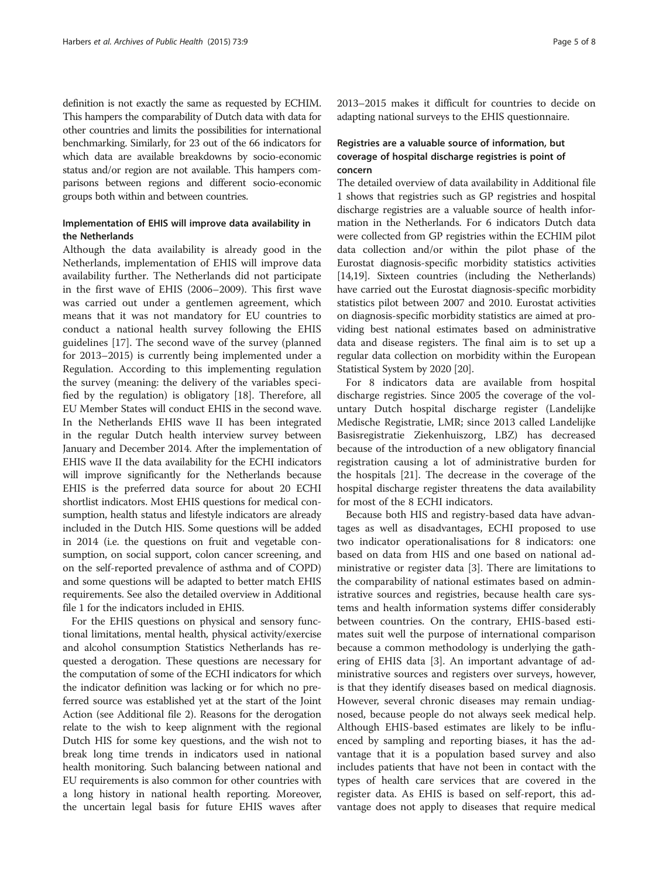definition is not exactly the same as requested by ECHIM. This hampers the comparability of Dutch data with data for other countries and limits the possibilities for international benchmarking. Similarly, for 23 out of the 66 indicators for which data are available breakdowns by socio-economic status and/or region are not available. This hampers comparisons between regions and different socio-economic groups both within and between countries.

# Implementation of EHIS will improve data availability in the Netherlands

Although the data availability is already good in the Netherlands, implementation of EHIS will improve data availability further. The Netherlands did not participate in the first wave of EHIS (2006–2009). This first wave was carried out under a gentlemen agreement, which means that it was not mandatory for EU countries to conduct a national health survey following the EHIS guidelines [\[17\]](#page-6-0). The second wave of the survey (planned for 2013–2015) is currently being implemented under a Regulation. According to this implementing regulation the survey (meaning: the delivery of the variables specified by the regulation) is obligatory [[18\]](#page-6-0). Therefore, all EU Member States will conduct EHIS in the second wave. In the Netherlands EHIS wave II has been integrated in the regular Dutch health interview survey between January and December 2014. After the implementation of EHIS wave II the data availability for the ECHI indicators will improve significantly for the Netherlands because EHIS is the preferred data source for about 20 ECHI shortlist indicators. Most EHIS questions for medical consumption, health status and lifestyle indicators are already included in the Dutch HIS. Some questions will be added in 2014 (i.e. the questions on fruit and vegetable consumption, on social support, colon cancer screening, and on the self-reported prevalence of asthma and of COPD) and some questions will be adapted to better match EHIS requirements. See also the detailed overview in Additional file [1](#page-6-0) for the indicators included in EHIS.

For the EHIS questions on physical and sensory functional limitations, mental health, physical activity/exercise and alcohol consumption Statistics Netherlands has requested a derogation. These questions are necessary for the computation of some of the ECHI indicators for which the indicator definition was lacking or for which no preferred source was established yet at the start of the Joint Action (see Additional file [2](#page-6-0)). Reasons for the derogation relate to the wish to keep alignment with the regional Dutch HIS for some key questions, and the wish not to break long time trends in indicators used in national health monitoring. Such balancing between national and EU requirements is also common for other countries with a long history in national health reporting. Moreover, the uncertain legal basis for future EHIS waves after 2013–2015 makes it difficult for countries to decide on adapting national surveys to the EHIS questionnaire.

# Registries are a valuable source of information, but coverage of hospital discharge registries is point of concern

The detailed overview of data availability in Additional file [1](#page-6-0) shows that registries such as GP registries and hospital discharge registries are a valuable source of health information in the Netherlands. For 6 indicators Dutch data were collected from GP registries within the ECHIM pilot data collection and/or within the pilot phase of the Eurostat diagnosis-specific morbidity statistics activities [[14](#page-6-0),[19](#page-6-0)]. Sixteen countries (including the Netherlands) have carried out the Eurostat diagnosis-specific morbidity statistics pilot between 2007 and 2010. Eurostat activities on diagnosis-specific morbidity statistics are aimed at providing best national estimates based on administrative data and disease registers. The final aim is to set up a regular data collection on morbidity within the European Statistical System by 2020 [[20](#page-6-0)].

For 8 indicators data are available from hospital discharge registries. Since 2005 the coverage of the voluntary Dutch hospital discharge register (Landelijke Medische Registratie, LMR; since 2013 called Landelijke Basisregistratie Ziekenhuiszorg, LBZ) has decreased because of the introduction of a new obligatory financial registration causing a lot of administrative burden for the hospitals [\[21\]](#page-6-0). The decrease in the coverage of the hospital discharge register threatens the data availability for most of the 8 ECHI indicators.

Because both HIS and registry-based data have advantages as well as disadvantages, ECHI proposed to use two indicator operationalisations for 8 indicators: one based on data from HIS and one based on national administrative or register data [\[3](#page-6-0)]. There are limitations to the comparability of national estimates based on administrative sources and registries, because health care systems and health information systems differ considerably between countries. On the contrary, EHIS-based estimates suit well the purpose of international comparison because a common methodology is underlying the gathering of EHIS data [\[3](#page-6-0)]. An important advantage of administrative sources and registers over surveys, however, is that they identify diseases based on medical diagnosis. However, several chronic diseases may remain undiagnosed, because people do not always seek medical help. Although EHIS-based estimates are likely to be influenced by sampling and reporting biases, it has the advantage that it is a population based survey and also includes patients that have not been in contact with the types of health care services that are covered in the register data. As EHIS is based on self-report, this advantage does not apply to diseases that require medical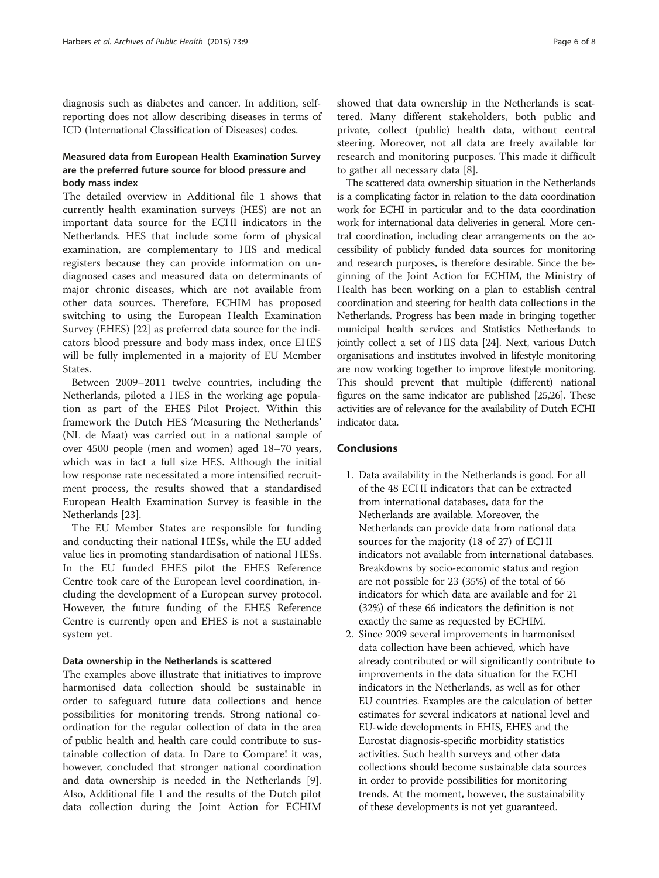diagnosis such as diabetes and cancer. In addition, selfreporting does not allow describing diseases in terms of ICD (International Classification of Diseases) codes.

# Measured data from European Health Examination Survey are the preferred future source for blood pressure and body mass index

The detailed overview in Additional file [1](#page-6-0) shows that currently health examination surveys (HES) are not an important data source for the ECHI indicators in the Netherlands. HES that include some form of physical examination, are complementary to HIS and medical registers because they can provide information on undiagnosed cases and measured data on determinants of major chronic diseases, which are not available from other data sources. Therefore, ECHIM has proposed switching to using the European Health Examination Survey (EHES) [\[22](#page-6-0)] as preferred data source for the indicators blood pressure and body mass index, once EHES will be fully implemented in a majority of EU Member States.

Between 2009–2011 twelve countries, including the Netherlands, piloted a HES in the working age population as part of the EHES Pilot Project. Within this framework the Dutch HES 'Measuring the Netherlands' (NL de Maat) was carried out in a national sample of over 4500 people (men and women) aged 18–70 years, which was in fact a full size HES. Although the initial low response rate necessitated a more intensified recruitment process, the results showed that a standardised European Health Examination Survey is feasible in the Netherlands [[23](#page-6-0)].

The EU Member States are responsible for funding and conducting their national HESs, while the EU added value lies in promoting standardisation of national HESs. In the EU funded EHES pilot the EHES Reference Centre took care of the European level coordination, including the development of a European survey protocol. However, the future funding of the EHES Reference Centre is currently open and EHES is not a sustainable system yet.

## Data ownership in the Netherlands is scattered

The examples above illustrate that initiatives to improve harmonised data collection should be sustainable in order to safeguard future data collections and hence possibilities for monitoring trends. Strong national coordination for the regular collection of data in the area of public health and health care could contribute to sustainable collection of data. In Dare to Compare! it was, however, concluded that stronger national coordination and data ownership is needed in the Netherlands [\[9](#page-6-0)]. Also, Additional file [1](#page-6-0) and the results of the Dutch pilot data collection during the Joint Action for ECHIM

showed that data ownership in the Netherlands is scattered. Many different stakeholders, both public and private, collect (public) health data, without central steering. Moreover, not all data are freely available for research and monitoring purposes. This made it difficult to gather all necessary data [[8\]](#page-6-0).

The scattered data ownership situation in the Netherlands is a complicating factor in relation to the data coordination work for ECHI in particular and to the data coordination work for international data deliveries in general. More central coordination, including clear arrangements on the accessibility of publicly funded data sources for monitoring and research purposes, is therefore desirable. Since the beginning of the Joint Action for ECHIM, the Ministry of Health has been working on a plan to establish central coordination and steering for health data collections in the Netherlands. Progress has been made in bringing together municipal health services and Statistics Netherlands to jointly collect a set of HIS data [\[24](#page-6-0)]. Next, various Dutch organisations and institutes involved in lifestyle monitoring are now working together to improve lifestyle monitoring. This should prevent that multiple (different) national figures on the same indicator are published [[25,26](#page-7-0)]. These activities are of relevance for the availability of Dutch ECHI indicator data.

# Conclusions

- 1. Data availability in the Netherlands is good. For all of the 48 ECHI indicators that can be extracted from international databases, data for the Netherlands are available. Moreover, the Netherlands can provide data from national data sources for the majority (18 of 27) of ECHI indicators not available from international databases. Breakdowns by socio-economic status and region are not possible for 23 (35%) of the total of 66 indicators for which data are available and for 21 (32%) of these 66 indicators the definition is not exactly the same as requested by ECHIM.
- 2. Since 2009 several improvements in harmonised data collection have been achieved, which have already contributed or will significantly contribute to improvements in the data situation for the ECHI indicators in the Netherlands, as well as for other EU countries. Examples are the calculation of better estimates for several indicators at national level and EU-wide developments in EHIS, EHES and the Eurostat diagnosis-specific morbidity statistics activities. Such health surveys and other data collections should become sustainable data sources in order to provide possibilities for monitoring trends. At the moment, however, the sustainability of these developments is not yet guaranteed.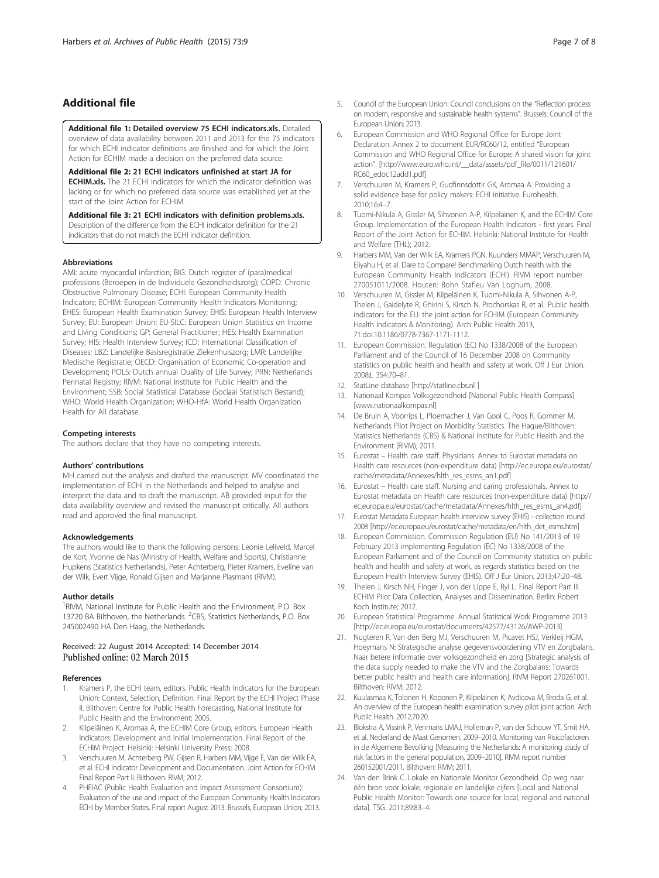# <span id="page-6-0"></span>Additional file

[Additional file 1:](http://www.archpublichealth.com/content/supplementary/s13690-014-0058-4-s1.xls) Detailed overview 75 ECHI indicators.xls. Detailed overview of data availability between 2011 and 2013 for the 75 indicators for which ECHI indicator definitions are finished and for which the Joint Action for ECHIM made a decision on the preferred data source.

[Additional file 2:](http://www.archpublichealth.com/content/supplementary/s13690-014-0058-4-s2.xls) 21 ECHI indicators unfinished at start JA for ECHIM.xls. The 21 ECHI indicators for which the indicator definition was lacking or for which no preferred data source was established yet at the start of the Joint Action for ECHIM.

[Additional file 3:](http://www.archpublichealth.com/content/supplementary/s13690-014-0058-4-s3.xls) 21 ECHI indicators with definition problems.xls. Description of the difference from the ECHI indicator definition for the 21 indicators that do not match the ECHI indicator definition.

#### Abbreviations

AMI: acute myocardial infarction; BIG: Dutch register of (para)medical professions (Beroepen in de Individuele Gezondheidszorg); COPD: Chronic Obstructive Pulmonary Disease; ECHI: European Community Health Indicators; ECHIM: European Community Health Indicators Monitoring; EHES: European Health Examination Survey; EHIS: European Health Interview Survey; EU: European Union; EU-SILC: European Union Statistics on Income and Living Conditions; GP: General Practitioner; HES: Health Examination Survey; HIS: Health Interview Survey; ICD: International Classification of Diseases; LBZ: Landelijke Basisregistratie Ziekenhuiszorg; LMR: Landelijke Medische Registratie; OECD: Organisation of Economic Co-operation and Development; POLS: Dutch annual Quality of Life Survey; PRN: Netherlands Perinatal Registry; RIVM: National Institute for Public Health and the Environment; SSB: Social Statistical Database (Sociaal Statistisch Bestand); WHO: World Health Organization; WHO-HfA: World Health Organization Health for All database.

#### Competing interests

The authors declare that they have no competing interests.

#### Authors' contributions

MH carried out the analysis and drafted the manuscript. MV coordinated the implementation of ECHI in the Netherlands and helped to analyse and interpret the data and to draft the manuscript. AB provided input for the data availability overview and revised the manuscript critically. All authors read and approved the final manuscript.

#### Acknowledgements

The authors would like to thank the following persons: Leonie Leliveld, Marcel de Kort, Yvonne de Nas (Ministry of Health, Welfare and Sports), Christianne Hupkens (Statistics Netherlands), Peter Achterberg, Pieter Kramers, Eveline van der Wilk, Evert Vijge, Ronald Gijsen and Marjanne Plasmans (RIVM).

#### Author details

<sup>1</sup>RIVM, National Institute for Public Health and the Environment, P.O. Box 13720 BA Bilthoven, the Netherlands. <sup>2</sup>CBS, Statistics Netherlands, P.O. Box 245002490 HA Den Haag, the Netherlands.

#### Received: 22 August 2014 Accepted: 14 December 2014 Published online: 02 March 2015

#### References

- 1. Kramers P, the ECHI team, editors. Public Health Indicators for the European Union: Context, Selection, Definition. Final Report by the ECHI Project Phase II. Bilthoven: Centre for Public Health Forecasting, National Institute for Public Health and the Environment; 2005.
- 2. Kilpeläinen K, Aromaa A, the ECHIM Core Group, editors. European Health Indicators: Development and Initial Implementation. Final Report of the ECHIM Project. Helsinki: Helsinki University Press; 2008.
- 3. Verschuuren M, Achterberg PW, Gijsen R, Harbers MM, Vijge E, Van der Wilk EA, et al. ECHI Indicator Development and Documentation. Joint Action for ECHIM Final Report Part II. Bilthoven: RIVM; 2012.
- 4. PHEIAC (Public Health Evaluation and Impact Assessment Consortium): Evaluation of the use and impact of the European Community Health Indicators ECHI by Member States. Final report August 2013. Brussels, European Union; 2013.
- 5. Council of the European Union: Council conclusions on the "Reflection process on modern, responsive and sustainable health systems". Brussels: Council of the European Union; 2013.
- 6. European Commission and WHO Regional Office for Europe Joint Declaration. Annex 2 to document EUR/RC60/12, entitled "European Commission and WHO Regional Office for Europe: A shared vision for joint action". [http://www.euro.who.int/\_\_data/assets/pdf\_file/0011/121601/ RC60\_edoc12add1.pdf]
- 7. Verschuuren M, Kramers P, Gudfinnsdottir GK, Aromaa A. Providing a solid evidence base for policy makers: ECHI initiative. Eurohealth. 2010;16:4–7.
- 8. Tuomi-Nikula A, Gissler M, Sihvonen A-P, Kilpeläinen K, and the ECHIM Core Group. Implementation of the European Health Indicators - first years. Final Report of the Joint Action for ECHIM. Helsinki: National Institute for Health and Welfare (THL); 2012.
- 9. Harbers MM, Van der Wilk EA, Kramers PGN, Kuunders MMAP, Verschuuren M, Eliyahu H, et al. Dare to Compare! Benchmarking Dutch health with the European Community Health Indicators (ECHI). RIVM report number 270051011/2008. Houten: Bohn Stafleu Van Loghum; 2008.
- 10. Verschuuren M, Gissler M, Kilpeläinen K, Tuomi-Nikula A, Sihvonen A-P, Thelen J, Gaidelyte R, Ghirini S, Kirsch N, Prochorskas R, et al.: Public health indicators for the EU: the joint action for ECHIM (European Community Health Indicators & Monitoring). Arch Public Health 2013, 71:doi:10.1186/0778-7367-1171-1112.
- 11. European Commission. Regulation (EC) No 1338/2008 of the European Parliament and of the Council of 16 December 2008 on Community statistics on public health and health and safety at work. Off J Eur Union. 2008;L 354:70–81.
- 12. StatLine database [http://statline.cbs.nl ]
- 13. Nationaal Kompas Volksgezondheid [National Public Health Compass] [www.nationaalkompas.nl]
- 14. De Bruin A, Voorrips L, Ploemacher J, Van Gool C, Poos R, Gommer M. Netherlands Pilot Project on Morbidity Statistics. The Hague/Bilthoven: Statistics Netherlands (CBS) & National Institute for Public Health and the Environment (RIVM); 2011.
- 15. Eurostat Health care staff. Physicians. Annex to Eurostat metadata on Health care resources (non-expenditure data) [http://ec.europa.eu/eurostat/ cache/metadata/Annexes/hlth\_res\_esms\_an1.pdf]
- 16. Eurostat Health care staff. Nursing and caring professionals. Annex to Eurostat metadata on Health care resources (non-expenditure data) [http:// ec.europa.eu/eurostat/cache/metadata/Annexes/hlth\_res\_esms\_an4.pdf]
- 17. Eurostat Metadata European health interview survey (EHIS) collection round 2008 [http://ec.europa.eu/eurostat/cache/metadata/en/hlth\_det\_esms.htm]
- 18. European Commission. Commission Regulation (EU) No 141/2013 of 19 February 2013 implementing Regulation (EC) No 1338/2008 of the European Parliament and of the Council on Community statistics on public health and health and safety at work, as regards statistics based on the European Health Interview Survey (EHIS). Off J Eur Union. 2013;47:20–48.
- 19. Thelen J, Kirsch NH, Finger J, von der Lippe E, Ryl L. Final Report Part III. ECHIM Pilot Data Collection, Analyses and Dissemination. Berlin: Robert Koch Institute; 2012.
- 20. European Statistical Programme. Annual Statistical Work Programme 2013 [http://ec.europa.eu/eurostat/documents/42577/43126/AWP-2013]
- 21. Nugteren R, Van den Berg MJ, Verschuuren M, Picavet HSJ, Verkleij HGM, Hoeymans N: Strategische analyse gegevensvoorziening VTV en Zorgbalans. Naar betere informatie over volksgezondheid en zorg [Strategic analysis of the data supply needed to make the VTV and the Zorgbalans: Towards better public health and health care information]. RIVM Report 270261001. Bilthoven: RIVM; 2012.
- 22. Kuulasmaa K, Tolonen H, Koponen P, Kilpelainen K, Avdicova M, Broda G, et al. An overview of the European health examination survey pilot joint action. Arch Public Health. 2012;70:20.
- 23. Blokstra A, Vissink P, Venmans LMAJ, Holleman P, van der Schouw YT, Smit HA, et al. Nederland de Maat Genomen, 2009–2010. Monitoring van Risicofactoren in de Algemene Bevolking [Measuring the Netherlands: A monitoring study of risk factors in the general population, 2009–2010]. RIVM report number 260152001/2011. Bilthoven: RIVM; 2011.
- 24. Van den Brink C. Lokale en Nationale Monitor Gezondheid. Op weg naar één bron voor lokale, regionale en landelijke cijfers [Local and National Public Health Monitor: Towards one source for local, regional and national data]. TSG. 2011;89:83–4.